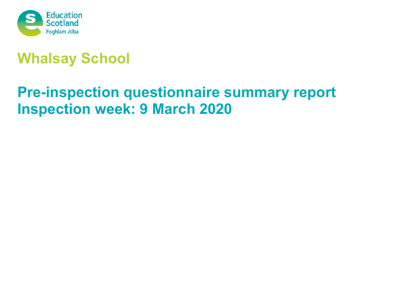

# **Whalsay School**

# **Pre-inspection questionnaire summary report Inspection week: 9 March 2020**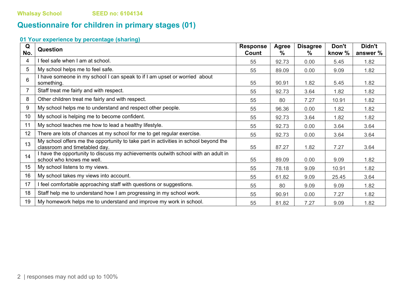# **Questionnaire for children in primary stages (01)**

| Q<br>No. | <b>Question</b>                                                                                                      | <b>Response</b><br>Count | Agree<br>$\%$ | <b>Disagree</b><br>℅ | Don't<br>know % | Didn't<br>answer % |
|----------|----------------------------------------------------------------------------------------------------------------------|--------------------------|---------------|----------------------|-----------------|--------------------|
| 4        | I feel safe when I am at school.                                                                                     | 55                       | 92.73         | 0.00                 | 5.45            | 1.82               |
| 5        | My school helps me to feel safe.                                                                                     | 55                       | 89.09         | 0.00                 | 9.09            | 1.82               |
| 6        | I have someone in my school I can speak to if I am upset or worried about<br>something.                              | 55                       | 90.91         | 1.82                 | 5.45            | 1.82               |
| 7        | Staff treat me fairly and with respect.                                                                              | 55                       | 92.73         | 3.64                 | 1.82            | 1.82               |
| 8        | Other children treat me fairly and with respect.                                                                     | 55                       | 80            | 7.27                 | 10.91           | 1.82               |
| 9        | My school helps me to understand and respect other people.                                                           | 55                       | 96.36         | 0.00                 | 1.82            | 1.82               |
| 10       | My school is helping me to become confident.                                                                         | 55                       | 92.73         | 3.64                 | 1.82            | 1.82               |
| 11       | My school teaches me how to lead a healthy lifestyle.                                                                | 55                       | 92.73         | 0.00                 | 3.64            | 3.64               |
| 12       | There are lots of chances at my school for me to get regular exercise.                                               | 55                       | 92.73         | 0.00                 | 3.64            | 3.64               |
| 13       | My school offers me the opportunity to take part in activities in school beyond the<br>classroom and timetabled day. | 55                       | 87.27         | 1.82                 | 7.27            | 3.64               |
| 14       | I have the opportunity to discuss my achievements outwith school with an adult in<br>school who knows me well.       | 55                       | 89.09         | 0.00                 | 9.09            | 1.82               |
| 15       | My school listens to my views.                                                                                       | 55                       | 78.18         | 9.09                 | 10.91           | 1.82               |
| 16       | My school takes my views into account.                                                                               | 55                       | 61.82         | 9.09                 | 25.45           | 3.64               |
| 17       | I feel comfortable approaching staff with questions or suggestions.                                                  | 55                       | 80            | 9.09                 | 9.09            | 1.82               |
| 18       | Staff help me to understand how I am progressing in my school work.                                                  | 55                       | 90.91         | 0.00                 | 7.27            | 1.82               |
| 19       | My homework helps me to understand and improve my work in school.                                                    | 55                       | 81.82         | 7.27                 | 9.09            | 1.82               |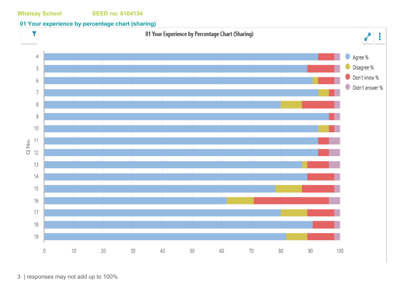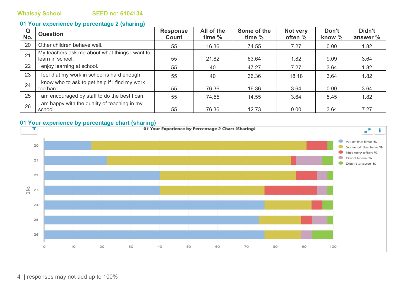| $\mathbf Q$<br>No. | <b>Question</b>                                                    | <b>Response</b><br>Count | All of the<br>time % | Some of the<br>time % | Not very<br>often % | Don't<br>know % | Didn't<br>answer % |
|--------------------|--------------------------------------------------------------------|--------------------------|----------------------|-----------------------|---------------------|-----------------|--------------------|
| 20                 | Other children behave well.                                        | 55                       | 16.36                | 74.55                 | 7.27                | 0.00            | 1.82               |
| 21                 | My teachers ask me about what things I want to<br>learn in school. | 55                       | 21.82                | 63.64                 | 1.82                | 9.09            | 3.64               |
| 22                 | I enjoy learning at school.                                        | 55                       | 40                   | 47.27                 | 7.27                | 3.64            | 1.82               |
| 23                 | I feel that my work in school is hard enough.                      | 55                       | 40                   | 36.36                 | 18.18               | 3.64            | 1.82               |
| 24                 | I know who to ask to get help if I find my work<br>too hard.       | 55                       | 76.36                | 16.36                 | 3.64                | 0.00            | 3.64               |
| 25                 | I am encouraged by staff to do the best I can.                     | 55                       | 74.55                | 14.55                 | 3.64                | 5.45            | 1.82               |
| 26                 | I am happy with the quality of teaching in my<br>school.           | 55                       | 76.36                | 12.73                 | 0.00                | 3.64            | 7.27               |

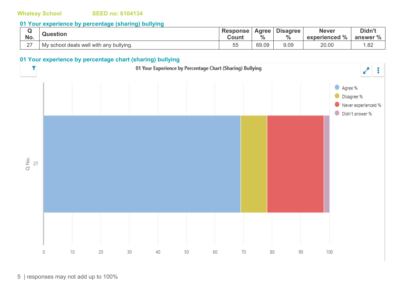### **01 Your experience by percentage (sharing) bullying**

| No.         | <b>Question</b>                         | <b>Response</b><br>Count | Agree<br>0/2<br>70 | <b>Disagree</b><br>0/ | <b>Never</b><br>$\frac{1}{2}$<br>experienced | Didn't<br>answer % |
|-------------|-----------------------------------------|--------------------------|--------------------|-----------------------|----------------------------------------------|--------------------|
| $\sim$<br>_ | My school deals well with any bullying. | $ -$<br>55               | 69.09              | 9.09                  | 20.00                                        | .82                |

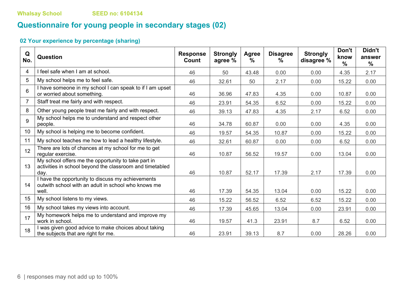# **Questionnaire for young people in secondary stages (02)**

| Q<br>No.        | <b>Question</b>                                                                                                         | <b>Response</b><br>Count | <b>Strongly</b><br>agree % | Agree<br>$\frac{0}{0}$ | <b>Disagree</b><br>℅ | <b>Strongly</b><br>disagree % | Don't<br>know<br>$\frac{0}{0}$ | Didn't<br>answer<br>$\frac{0}{0}$ |
|-----------------|-------------------------------------------------------------------------------------------------------------------------|--------------------------|----------------------------|------------------------|----------------------|-------------------------------|--------------------------------|-----------------------------------|
| 4               | I feel safe when I am at school.                                                                                        | 46                       | 50                         | 43.48                  | 0.00                 | 0.00                          | 4.35                           | 2.17                              |
| 5               | My school helps me to feel safe.                                                                                        | 46                       | 32.61                      | 50                     | 2.17                 | 0.00                          | 15.22                          | 0.00                              |
| $6\phantom{1}6$ | I have someone in my school I can speak to if I am upset<br>or worried about something.                                 | 46                       | 36.96                      | 47.83                  | 4.35                 | 0.00                          | 10.87                          | 0.00                              |
| $\overline{7}$  | Staff treat me fairly and with respect.                                                                                 | 46                       | 23.91                      | 54.35                  | 6.52                 | 0.00                          | 15.22                          | 0.00                              |
| 8               | Other young people treat me fairly and with respect.                                                                    | 46                       | 39.13                      | 47.83                  | 4.35                 | 2.17                          | 6.52                           | 0.00                              |
| 9               | My school helps me to understand and respect other<br>people.                                                           | 46                       | 34.78                      | 60.87                  | 0.00                 | 0.00                          | 4.35                           | 0.00                              |
| 10              | My school is helping me to become confident.                                                                            | 46                       | 19.57                      | 54.35                  | 10.87                | 0.00                          | 15.22                          | 0.00                              |
| 11              | My school teaches me how to lead a healthy lifestyle.                                                                   | 46                       | 32.61                      | 60.87                  | 0.00                 | 0.00                          | 6.52                           | 0.00                              |
| 12              | There are lots of chances at my school for me to get<br>reqular exercise.                                               | 46                       | 10.87                      | 56.52                  | 19.57                | 0.00                          | 13.04                          | 0.00                              |
| 13              | My school offers me the opportunity to take part in<br>activities in school beyond the classroom and timetabled<br>day. | 46                       | 10.87                      | 52.17                  | 17.39                | 2.17                          | 17.39                          | 0.00                              |
| 14              | I have the opportunity to discuss my achievements<br>outwith school with an adult in school who knows me<br>well.       | 46                       | 17.39                      | 54.35                  | 13.04                | 0.00                          | 15.22                          | 0.00                              |
| 15              | My school listens to my views.                                                                                          | 46                       | 15.22                      | 56.52                  | 6.52                 | 6.52                          | 15.22                          | 0.00                              |
| 16              | My school takes my views into account.                                                                                  | 46                       | 17.39                      | 45.65                  | 13.04                | 0.00                          | 23.91                          | 0.00                              |
| 17              | My homework helps me to understand and improve my<br>work in school.                                                    | 46                       | 19.57                      | 41.3                   | 23.91                | 8.7                           | 6.52                           | 0.00                              |
| 18              | I was given good advice to make choices about taking<br>the subjects that are right for me.                             | 46                       | 23.91                      | 39.13                  | 8.7                  | 0.00                          | 28.26                          | 0.00                              |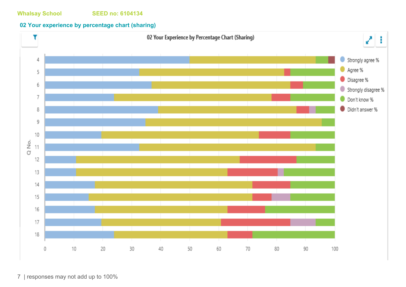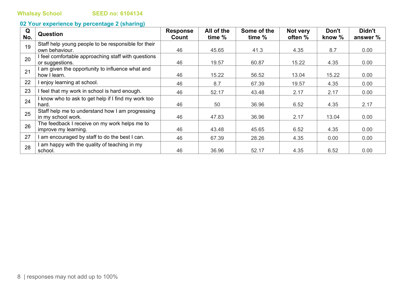| Q<br>No. | Question                                            | <b>Response</b><br>Count | All of the<br>time % | Some of the<br>time % | Not very<br>often % | Don't<br>know % | Didn't<br>answer % |
|----------|-----------------------------------------------------|--------------------------|----------------------|-----------------------|---------------------|-----------------|--------------------|
| 19       | Staff help young people to be responsible for their |                          |                      |                       |                     |                 |                    |
|          | own behaviour.                                      | 46                       | 45.65                | 41.3                  | 4.35                | 8.7             | 0.00               |
| 20       | I feel comfortable approaching staff with questions |                          |                      |                       |                     |                 |                    |
|          | or suggestions.                                     | 46                       | 19.57                | 60.87                 | 15.22               | 4.35            | 0.00               |
| 21       | I am given the opportunity to influence what and    |                          |                      |                       |                     |                 |                    |
|          | how I learn.                                        | 46                       | 15.22                | 56.52                 | 13.04               | 15.22           | 0.00               |
| 22       | I enjoy learning at school.                         | 46                       | 8.7                  | 67.39                 | 19.57               | 4.35            | 0.00               |
| 23       | I feel that my work in school is hard enough.       | 46                       | 52.17                | 43.48                 | 2.17                | 2.17            | 0.00               |
| 24       | I know who to ask to get help if I find my work too |                          |                      |                       |                     |                 |                    |
|          | hard.                                               | 46                       | 50                   | 36.96                 | 6.52                | 4.35            | 2.17               |
| 25       | Staff help me to understand how I am progressing    |                          |                      |                       |                     |                 |                    |
|          | in my school work.                                  | 46                       | 47.83                | 36.96                 | 2.17                | 13.04           | 0.00               |
| 26       | The feedback I receive on my work helps me to       |                          |                      |                       |                     |                 |                    |
|          | improve my learning.                                | 46                       | 43.48                | 45.65                 | 6.52                | 4.35            | 0.00               |
| 27       | I am encouraged by staff to do the best I can.      | 46                       | 67.39                | 28.26                 | 4.35                | 0.00            | 0.00               |
| 28       | I am happy with the quality of teaching in my       |                          |                      |                       |                     |                 |                    |
|          | school.                                             | 46                       | 36.96                | 52.17                 | 4.35                | 6.52            | 0.00               |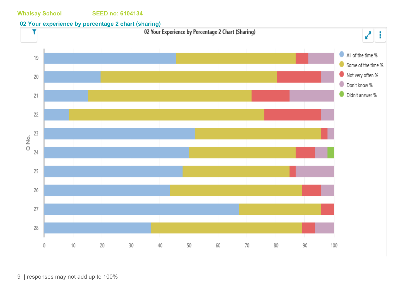### **02 Your experience by percentage 2 chart (sharing)**

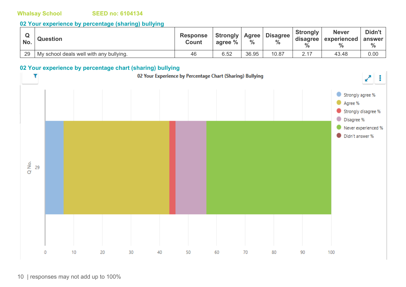#### **02 Your experience by percentage (sharing) bullying**

| No. | <b>Question</b>                         | <b>Response</b><br><b>Count</b> | <b>Strongly   Agree  </b><br>agree % | $\frac{0}{0}$ | <b>Disagree</b><br>$\frac{0}{0}$ | <b>Strongly</b><br>disagree<br>$\frac{0}{0}$ | <b>Never</b><br>experienced | Didn't<br>answer<br>$\frac{9}{6}$ |
|-----|-----------------------------------------|---------------------------------|--------------------------------------|---------------|----------------------------------|----------------------------------------------|-----------------------------|-----------------------------------|
| 29  | My school deals well with any bullying. | 46                              | 6.52                                 | 36.95         | 10.87                            |                                              | 43.48                       | 0.00                              |

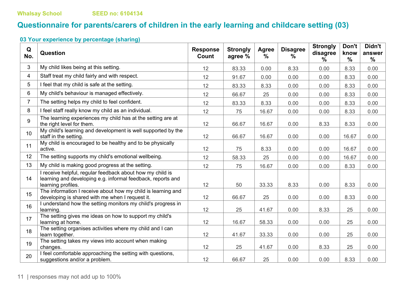# **Questionnaire for parents/carers of children in the early learning and childcare setting (03)**

| Q<br>No.       | <b>Question</b>                                                                                                                                | <b>Response</b><br><b>Count</b> | <b>Strongly</b><br>agree % | Agree<br>% | <b>Disagree</b><br>$\%$ | <b>Strongly</b><br>disagree<br>$\%$ | Don't<br>know<br>$\frac{0}{0}$ | Didn't<br>answer<br>$\frac{0}{0}$ |
|----------------|------------------------------------------------------------------------------------------------------------------------------------------------|---------------------------------|----------------------------|------------|-------------------------|-------------------------------------|--------------------------------|-----------------------------------|
| 3              | My child likes being at this setting.                                                                                                          | 12                              | 83.33                      | 0.00       | 8.33                    | 0.00                                | 8.33                           | 0.00                              |
| 4              | Staff treat my child fairly and with respect.                                                                                                  | 12                              | 91.67                      | 0.00       | 0.00                    | 0.00                                | 8.33                           | 0.00                              |
| 5              | I feel that my child is safe at the setting.                                                                                                   | 12                              | 83.33                      | 8.33       | 0.00                    | 0.00                                | 8.33                           | 0.00                              |
| 6              | My child's behaviour is managed effectively.                                                                                                   | 12                              | 66.67                      | 25         | 0.00                    | 0.00                                | 8.33                           | 0.00                              |
| $\overline{7}$ | The setting helps my child to feel confident.                                                                                                  | 12                              | 83.33                      | 8.33       | 0.00                    | 0.00                                | 8.33                           | 0.00                              |
| 8              | I feel staff really know my child as an individual.                                                                                            | 12                              | 75                         | 16.67      | 0.00                    | 0.00                                | 8.33                           | 0.00                              |
| 9              | The learning experiences my child has at the setting are at<br>the right level for them.                                                       | 12                              | 66.67                      | 16.67      | 0.00                    | 8.33                                | 8.33                           | 0.00                              |
| 10             | My child's learning and development is well supported by the<br>staff in the setting.                                                          | 12                              | 66.67                      | 16.67      | 0.00                    | 0.00                                | 16.67                          | 0.00                              |
| 11             | My child is encouraged to be healthy and to be physically<br>active.                                                                           | 12                              | 75                         | 8.33       | 0.00                    | 0.00                                | 16.67                          | 0.00                              |
| 12             | The setting supports my child's emotional wellbeing.                                                                                           | 12                              | 58.33                      | 25         | 0.00                    | 0.00                                | 16.67                          | 0.00                              |
| 13             | My child is making good progress at the setting.                                                                                               | 12                              | 75                         | 16.67      | 0.00                    | 0.00                                | 8.33                           | 0.00                              |
| 14             | I receive helpful, regular feedback about how my child is<br>learning and developing e.g. informal feedback, reports and<br>learning profiles. | 12                              | 50                         | 33.33      | 8.33                    | 0.00                                | 8.33                           | 0.00                              |
| 15             | The information I receive about how my child is learning and<br>developing is shared with me when I request it.                                | 12                              | 66.67                      | 25         | 0.00                    | 0.00                                | 8.33                           | 0.00                              |
| 16             | I understand how the setting monitors my child's progress in<br>learning.                                                                      | 12                              | 25                         | 41.67      | 0.00                    | 8.33                                | 25                             | 0.00                              |
| 17             | The setting gives me ideas on how to support my child's<br>learning at home.                                                                   | 12                              | 16.67                      | 58.33      | 0.00                    | 0.00                                | 25                             | 0.00                              |
| 18             | The setting organises activities where my child and I can<br>learn together.                                                                   | 12                              | 41.67                      | 33.33      | 0.00                    | 0.00                                | 25                             | 0.00                              |
| 19             | The setting takes my views into account when making<br>changes.                                                                                | 12                              | 25                         | 41.67      | 0.00                    | 8.33                                | 25                             | 0.00                              |
| 20             | I feel comfortable approaching the setting with questions,<br>suggestions and/or a problem.                                                    | 12                              | 66.67                      | 25         | 0.00                    | 0.00                                | 8.33                           | 0.00                              |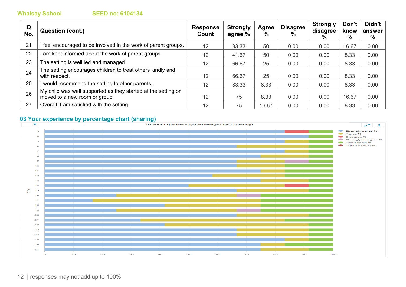| Q<br>No. | Question (cont.)                                                                               | <b>Response</b><br>Count | <b>Strongly</b><br>agree % | Agree<br>$\%$ | <b>Disagree</b><br>$\frac{0}{0}$ | <b>Strongly</b><br>disagree<br>% | Don't<br>know<br>% | Didn't<br>answer<br>% |
|----------|------------------------------------------------------------------------------------------------|--------------------------|----------------------------|---------------|----------------------------------|----------------------------------|--------------------|-----------------------|
| 21       | feel encouraged to be involved in the work of parent groups.                                   | 12                       | 33.33                      | 50            | 0.00                             | 0.00                             | 16.67              | 0.00                  |
| 22       | am kept informed about the work of parent groups.                                              | 12                       | 41.67                      | 50            | 0.00                             | 0.00                             | 8.33               | 0.00                  |
| 23       | The setting is well led and managed.                                                           | 12 <sup>2</sup>          | 66.67                      | 25            | 0.00                             | 0.00                             | 8.33               | 0.00                  |
| 24       | The setting encourages children to treat others kindly and<br>with respect.                    | 12                       | 66.67                      | 25            | 0.00                             | 0.00                             | 8.33               | 0.00                  |
| 25       | would recommend the setting to other parents.                                                  | $12 \overline{ }$        | 83.33                      | 8.33          | 0.00                             | 0.00                             | 8.33               | 0.00                  |
| 26       | My child was well supported as they started at the setting or<br>moved to a new room or group. | 12                       | 75                         | 8.33          | 0.00                             | 0.00                             | 16.67              | 0.00                  |
| 27       | Overall, I am satisfied with the setting.                                                      | 12                       | 75                         | 16.67         | 0.00                             | 0.00                             | 8.33               | 0.00                  |

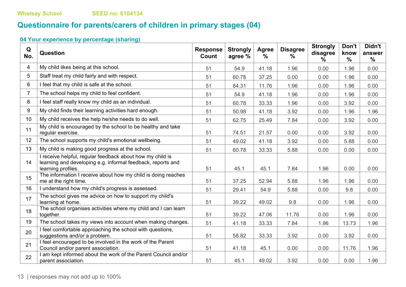# **Questionnaire for parents/carers of children in primary stages (04)**

| Q<br>No.       | Question                                                                                                                                       | <b>Response</b><br>Count | <b>Strongly</b><br>agree % | Agree<br>$\%$ | <b>Disagree</b><br>$\%$ | <b>Strongly</b><br>disagree<br>$\%$ | Don't<br>know<br>$\frac{0}{0}$ | Didn't<br>answer<br>$\%$ |
|----------------|------------------------------------------------------------------------------------------------------------------------------------------------|--------------------------|----------------------------|---------------|-------------------------|-------------------------------------|--------------------------------|--------------------------|
| 4              | My child likes being at this school.                                                                                                           | 51                       | 54.9                       | 41.18         | 1.96                    | 0.00                                | 1.96                           | 0.00                     |
| 5              | Staff treat my child fairly and with respect.                                                                                                  | 51                       | 60.78                      | 37.25         | 0.00                    | 0.00                                | 1.96                           | 0.00                     |
| 6              | I feel that my child is safe at the school.                                                                                                    | 51                       | 84.31                      | 11.76         | 1.96                    | 0.00                                | 1.96                           | 0.00                     |
| $\overline{7}$ | The school helps my child to feel confident.                                                                                                   | 51                       | 54.9                       | 41.18         | 1.96                    | 0.00                                | 1.96                           | 0.00                     |
| 8              | I feel staff really know my child as an individual.                                                                                            | 51                       | 60.78                      | 33.33         | 1.96                    | 0.00                                | 3.92                           | 0.00                     |
| 9              | My child finds their learning activities hard enough.                                                                                          | 51                       | 50.98                      | 41.18         | 3.92                    | 0.00                                | 1.96                           | 1.96                     |
| 10             | My child receives the help he/she needs to do well.                                                                                            | 51                       | 62.75                      | 25.49         | 7.84                    | 0.00                                | 3.92                           | 0.00                     |
| 11             | My child is encouraged by the school to be healthy and take<br>regular exercise.                                                               | 51                       | 74.51                      | 21.57         | 0.00                    | 0.00                                | 3.92                           | 0.00                     |
| 12             | The school supports my child's emotional wellbeing.                                                                                            | 51                       | 49.02                      | 41.18         | 3.92                    | 0.00                                | 5.88                           | 0.00                     |
| 13             | My child is making good progress at the school.                                                                                                | 51                       | 60.78                      | 33.33         | 5.88                    | 0.00                                | 0.00                           | 0.00                     |
| 14             | I receive helpful, regular feedback about how my child is<br>learning and developing e.g. informal feedback, reports and<br>learning profiles. | 51                       | 45.1                       | 45.1          | 7.84                    | 1.96                                | 0.00                           | 0.00                     |
| 15             | The information I receive about how my child is doing reaches<br>me at the right time.                                                         | 51                       | 37.25                      | 52.94         | 5.88                    | 1.96                                | 1.96                           | 0.00                     |
| 16             | I understand how my child's progress is assessed.                                                                                              | 51                       | 29.41                      | 54.9          | 5.88                    | 0.00                                | 9.8                            | 0.00                     |
| 17             | The school gives me advice on how to support my child's<br>learning at home.                                                                   | 51                       | 39.22                      | 49.02         | 9.8                     | 0.00                                | 1.96                           | 0.00                     |
| 18             | The school organises activities where my child and I can learn<br>together.                                                                    | 51                       | 39.22                      | 47.06         | 11.76                   | 0.00                                | 1.96                           | 0.00                     |
| 19             | The school takes my views into account when making changes.                                                                                    | 51                       | 41.18                      | 33.33         | 7.84                    | 1.96                                | 13.73                          | 1.96                     |
| 20             | I feel comfortable approaching the school with questions,<br>suggestions and/or a problem.                                                     | 51                       | 58.82                      | 33.33         | 3.92                    | 0.00                                | 3.92                           | 0.00                     |
| 21             | I feel encouraged to be involved in the work of the Parent<br>Council and/or parent association.                                               | 51                       | 41.18                      | 45.1          | 0.00                    | 0.00                                | 11.76                          | 1.96                     |
| 22             | I am kept informed about the work of the Parent Council and/or<br>parent association.                                                          | 51                       | 45.1                       | 49.02         | 3.92                    | 0.00                                | 0.00                           | 1.96                     |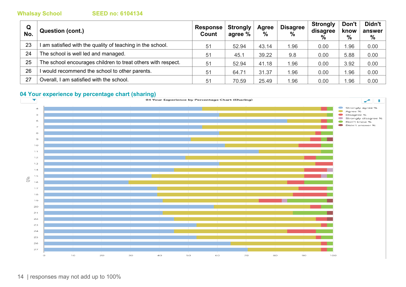| Q<br>No. | <b>Question (cont.)</b>                                      | Response<br>Count | <b>Strongly</b><br>agree % | Agree<br>% | <b>Disagree</b><br>$\%$ | <b>Strongly</b><br>disagree<br>$\%$ | Don't<br>know<br>% | Didn't<br>answer<br>$\%$ |
|----------|--------------------------------------------------------------|-------------------|----------------------------|------------|-------------------------|-------------------------------------|--------------------|--------------------------|
| 23       | am satisfied with the quality of teaching in the school.     | 51                | 52.94                      | 43.14      | 1.96                    | 0.00                                | 1.96               | 0.00                     |
| 24       | The school is well led and managed.                          | 51                | 45.1                       | 39.22      | 9.8                     | 0.00                                | 5.88               | 0.00                     |
| 25       | The school encourages children to treat others with respect. | 51                | 52.94                      | 41.18      | 1.96                    | 0.00                                | 3.92               | 0.00                     |
| 26       | would recommend the school to other parents.                 | 51                | 64.71                      | 31.37      | 1.96                    | 0.00                                | 1.96               | 0.00                     |
| 27       | Overall, I am satisfied with the school.                     | 51                | 70.59                      | 25.49      | 1.96                    | 0.00                                | .96                | 0.00                     |

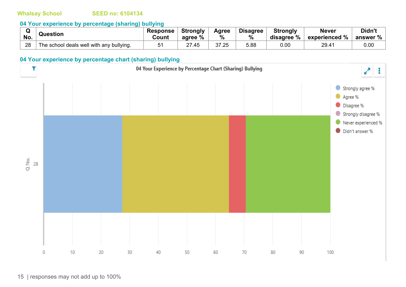#### **04 Your experience by percentage (sharing) bullying**

| No. | <b>Question</b>                          | <b>Response</b><br>Count | <b>Strongly</b><br>agree % | Agree<br>% | <b>Disagree</b><br>$\%$ | <b>Strongly</b><br>disagree % | <b>Never</b><br>$^{\shortmid}$ experienced % $\shortmid$ | Didn't<br>answer % |
|-----|------------------------------------------|--------------------------|----------------------------|------------|-------------------------|-------------------------------|----------------------------------------------------------|--------------------|
|     |                                          |                          |                            |            |                         |                               |                                                          |                    |
| 28  | The school deals well with any bullying. | ັ                        | 07<br>27.45                | 37.25      | 5.88                    | 0.00                          | 29.41                                                    | 0.00               |

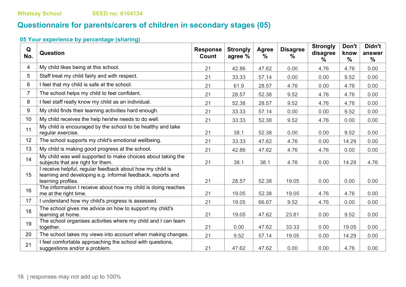# **Questionnaire for parents/carers of children in secondary stages (05)**

| Q<br>No.       | Question                                                                                                                                       | <b>Response</b><br>Count | <b>Strongly</b><br>agree % | Agree<br>$\%$ | <b>Disagree</b><br>$\%$ | <b>Strongly</b><br>disagree<br>℅ | Don't<br>know<br>$\frac{0}{0}$ | Didn't<br>answer<br>$\frac{0}{0}$ |
|----------------|------------------------------------------------------------------------------------------------------------------------------------------------|--------------------------|----------------------------|---------------|-------------------------|----------------------------------|--------------------------------|-----------------------------------|
| 4              | My child likes being at this school.                                                                                                           | 21                       | 42.86                      | 47.62         | 0.00                    | 4.76                             | 4.76                           | 0.00                              |
| 5              | Staff treat my child fairly and with respect.                                                                                                  | 21                       | 33.33                      | 57.14         | 0.00                    | 0.00                             | 9.52                           | 0.00                              |
| 6              | I feel that my child is safe at the school.                                                                                                    | 21                       | 61.9                       | 28.57         | 4.76                    | 0.00                             | 4.76                           | 0.00                              |
| $\overline{7}$ | The school helps my child to feel confident.                                                                                                   | 21                       | 28.57                      | 52.38         | 9.52                    | 4.76                             | 4.76                           | 0.00                              |
| 8              | I feel staff really know my child as an individual.                                                                                            | 21                       | 52.38                      | 28.57         | 9.52                    | 4.76                             | 4.76                           | 0.00                              |
| 9              | My child finds their learning activities hard enough.                                                                                          | 21                       | 33.33                      | 57.14         | 0.00                    | 0.00                             | 9.52                           | 0.00                              |
| 10             | My child receives the help he/she needs to do well.                                                                                            | 21                       | 33.33                      | 52.38         | 9.52                    | 4.76                             | 0.00                           | 0.00                              |
| 11             | My child is encouraged by the school to be healthy and take<br>regular exercise.                                                               | 21                       | 38.1                       | 52.38         | 0.00                    | 0.00                             | 9.52                           | 0.00                              |
| 12             | The school supports my child's emotional wellbeing.                                                                                            | 21                       | 33.33                      | 47.62         | 4.76                    | 0.00                             | 14.29                          | 0.00                              |
| 13             | My child is making good progress at the school.                                                                                                | 21                       | 42.86                      | 47.62         | 4.76                    | 4.76                             | 0.00                           | 0.00                              |
| 14             | My child was well supported to make choices about taking the<br>subjects that are right for them.                                              | 21                       | 38.1                       | 38.1          | 4.76                    | 0.00                             | 14.29                          | 4.76                              |
| 15             | I receive helpful, regular feedback about how my child is<br>learning and developing e.g. informal feedback, reports and<br>learning profiles. | 21                       | 28.57                      | 52.38         | 19.05                   | 0.00                             | 0.00                           | 0.00                              |
| 16             | The information I receive about how my child is doing reaches<br>me at the right time.                                                         | 21                       | 19.05                      | 52.38         | 19.05                   | 4.76                             | 4.76                           | 0.00                              |
| 17             | I understand how my child's progress is assessed.                                                                                              | 21                       | 19.05                      | 66.67         | 9.52                    | 4.76                             | 0.00                           | 0.00                              |
| 18             | The school gives me advice on how to support my child's<br>learning at home.                                                                   | 21                       | 19.05                      | 47.62         | 23.81                   | 0.00                             | 9.52                           | 0.00                              |
| 19             | The school organises activities where my child and I can learn<br>together.                                                                    | 21                       | 0.00                       | 47.62         | 33.33                   | 0.00                             | 19.05                          | 0.00                              |
| 20             | The school takes my views into account when making changes.                                                                                    | 21                       | 9.52                       | 57.14         | 19.05                   | 0.00                             | 14.29                          | 0.00                              |
| 21             | I feel comfortable approaching the school with questions,<br>suggestions and/or a problem.                                                     | 21                       | 47.62                      | 47.62         | 0.00                    | 0.00                             | 4.76                           | 0.00                              |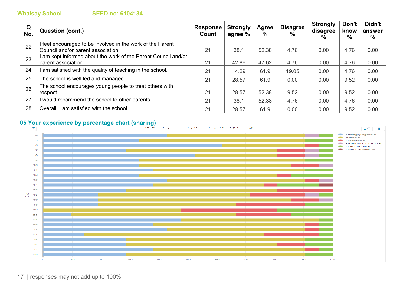| Q<br>No. | <b>Question (cont.)</b>                                                             | <b>Response</b><br>Count | <b>Strongly</b><br>agree % | Agree<br>% | <b>Disagree</b><br>$\%$ | <b>Strongly</b><br>disagree<br>% | Don't<br>know<br>$\%$ | Didn't<br>answer<br>% |
|----------|-------------------------------------------------------------------------------------|--------------------------|----------------------------|------------|-------------------------|----------------------------------|-----------------------|-----------------------|
| 22       | feel encouraged to be involved in the work of the Parent                            |                          |                            |            |                         |                                  |                       |                       |
|          | Council and/or parent association.                                                  | 21                       | 38.1                       | 52.38      | 4.76                    | 0.00                             | 4.76                  | 0.00                  |
| 23       | am kept informed about the work of the Parent Council and/or<br>parent association. | 21                       | 42.86                      | 47.62      | 4.76                    | 0.00                             | 4.76                  | 0.00                  |
| 24       | am satisfied with the quality of teaching in the school.                            | 21                       | 14.29                      | 61.9       | 19.05                   | 0.00                             | 4.76                  | 0.00                  |
| 25       | The school is well led and managed.                                                 | 21                       | 28.57                      | 61.9       | 0.00                    | 0.00                             | 9.52                  | 0.00                  |
| 26       | The school encourages young people to treat others with<br>respect.                 | 21                       | 28.57                      | 52.38      | 9.52                    | 0.00                             | 9.52                  | 0.00                  |
| 27       | would recommend the school to other parents.                                        | 21                       | 38.1                       | 52.38      | 4.76                    | 0.00                             | 4.76                  | 0.00                  |
| 28       | Overall, I am satisfied with the school.                                            | 21                       | 28.57                      | 61.9       | 0.00                    | 0.00                             | 9.52                  | 0.00                  |

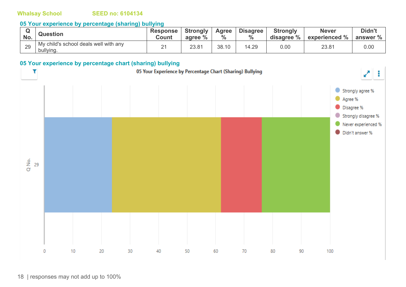### **05 Your experience by percentage (sharing) bullying**

| No. | <b>Question</b>                                    | Response  <br>Count | <b>Strongly</b><br>agree % | <b>Agree</b><br>$\frac{0}{0}$ | <b>Disagree</b><br>7ο | <b>Strongly</b><br>disagree % | <b>Never</b><br>experienced % | Didn't<br>answer % |
|-----|----------------------------------------------------|---------------------|----------------------------|-------------------------------|-----------------------|-------------------------------|-------------------------------|--------------------|
| 29  | My child's school deals well with any<br>bullying. | <u>_</u>            | 23.81                      | 38.10                         | 14.29                 | $0.00\,$                      | 23.81                         | 0.00               |

### **05 Your experience by percentage chart (sharing) bullying**

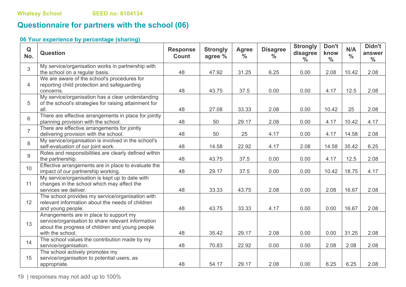# **Questionnaire for partners with the school (06)**

### **06 Your experience by percentage (sharing)**

| $\mathbf Q$<br>No. | <b>Question</b>                                                                                                                                                      | <b>Response</b><br><b>Count</b> | <b>Strongly</b><br>agree % | <b>Agree</b><br>$\frac{0}{0}$ | <b>Disagree</b><br>$\frac{0}{0}$ | <b>Strongly</b><br>disagree<br>$\frac{0}{0}$ | Don't<br>know<br>$\frac{0}{0}$ | N/A<br>$\frac{0}{0}$ | Didn't<br>answer<br>$\frac{0}{0}$ |
|--------------------|----------------------------------------------------------------------------------------------------------------------------------------------------------------------|---------------------------------|----------------------------|-------------------------------|----------------------------------|----------------------------------------------|--------------------------------|----------------------|-----------------------------------|
| $\mathfrak{S}$     | My service/organisation works in partnership with<br>the school on a regular basis.                                                                                  | 48                              | 47.92                      | 31.25                         | 6.25                             | 0.00                                         | 2.08                           | 10.42                | 2.08                              |
| $\overline{4}$     | We are aware of the school's procedures for<br>reporting child protection and safeguarding<br>concerns.                                                              | 48                              | 43.75                      | 37.5                          | 0.00                             | 0.00                                         | 4.17                           | 12.5                 | 2.08                              |
| 5                  | My service/organisation has a clear understanding<br>of the school's strategies for raising attainment for<br>all.                                                   | 48                              | 27.08                      | 33.33                         | 2.08                             | 0.00                                         | 10.42                          | 25                   | 2.08                              |
| 6                  | There are effective arrangements in place for jointly<br>planning provision with the school.                                                                         | 48                              | 50                         | 29.17                         | 2.08                             | 0.00                                         | 4.17                           | 10.42                | 4.17                              |
| $\overline{7}$     | There are effective arrangements for jointly<br>delivering provision with the school.                                                                                | 48                              | 50                         | 25                            | 4.17                             | 0.00                                         | 4.17                           | 14.58                | 2.08                              |
| 8                  | My service/organisation is involved in the school's<br>self-evaluation of our joint work.                                                                            | 48                              | 14.58                      | 22.92                         | 4.17                             | 2.08                                         | 14.58                          | 35.42                | 6.25                              |
| 9                  | Roles and responsibilities are clearly defined within<br>the partnership.                                                                                            | 48                              | 43.75                      | 37.5                          | 0.00                             | 0.00                                         | 4.17                           | 12.5                 | 2.08                              |
| 10                 | Effective arrangements are in place to evaluate the<br>impact of our partnership working.                                                                            | 48                              | 29.17                      | 37.5                          | 0.00                             | 0.00                                         | 10.42                          | 18.75                | 4.17                              |
| 11                 | My service/organisation is kept up to date with<br>changes in the school which may affect the<br>services we deliver.                                                | 48                              | 33.33                      | 43.75                         | 2.08                             | 0.00                                         | 2.08                           | 16.67                | 2.08                              |
| 12                 | The school provides my service/organisation with<br>relevant information about the needs of children<br>and young people.                                            | 48                              | 43.75                      | 33.33                         | 4.17                             | 0.00                                         | 0.00                           | 16.67                | 2.08                              |
| 13                 | Arrangements are in place to support my<br>service/organisation to share relevant information<br>about the progress of children and young people<br>with the school. | 48                              | 35.42                      | 29.17                         | 2.08                             | 0.00                                         | 0.00                           | 31.25                | 2.08                              |
| 14                 | The school values the contribution made by my<br>service/organisation.                                                                                               | 48                              | 70.83                      | 22.92                         | 0.00                             | 0.00                                         | 2.08                           | 2.08                 | 2.08                              |
| 15                 | The school actively promotes my<br>service/organisation to potential users, as<br>appropriate.                                                                       | 48                              | 54.17                      | 29.17                         | 2.08                             | 0.00                                         | 6.25                           | 6.25                 | 2.08                              |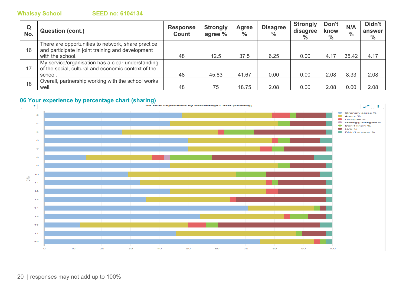| Q<br>No. | <b>Question (cont.)</b>                                                                                                     | <b>Response</b><br>Count | <b>Strongly</b><br>agree % | Agree<br>$\frac{0}{0}$ | <b>Disagree</b><br>$\frac{0}{0}$ | <b>Strongly</b><br>disagree<br>$\%$ | Don't<br>know<br>$\%$ | N/A<br>$\frac{0}{0}$ | Didn't<br>answer<br>$\%$ |
|----------|-----------------------------------------------------------------------------------------------------------------------------|--------------------------|----------------------------|------------------------|----------------------------------|-------------------------------------|-----------------------|----------------------|--------------------------|
| 16       | There are opportunities to network, share practice<br>and participate in joint training and development<br>with the school. | 48                       | 12.5                       | 37.5                   | 6.25                             | 0.00                                | 4.17                  | 35.42                | 4.17                     |
| 17       | My service/organisation has a clear understanding<br>of the social, cultural and economic context of the<br>school.         | 48                       | 45.83                      | 41.67                  | 0.00                             | 0.00                                | 2.08                  | 8.33                 | 2.08                     |
| 18       | Overall, partnership working with the school works<br>well.                                                                 | 48                       | 75                         | 18.75                  | 2.08                             | 0.00                                | 2.08                  | 0.00                 | 2.08                     |

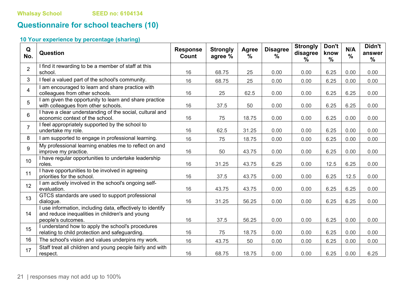# **Questionnaire for school teachers (10)**

| Q<br>No.        | Question                                                                                                                            | <b>Response</b><br>Count | <b>Strongly</b><br>agree % | Agree<br>$\frac{0}{0}$ | <b>Disagree</b><br>$\%$ | <b>Strongly</b><br>disagree<br>$\%$ | Don't<br>know<br>$\frac{0}{0}$ | N/A<br>$\frac{0}{0}$ | Didn't<br>answer<br>$\%$ |
|-----------------|-------------------------------------------------------------------------------------------------------------------------------------|--------------------------|----------------------------|------------------------|-------------------------|-------------------------------------|--------------------------------|----------------------|--------------------------|
| $\overline{2}$  | I find it rewarding to be a member of staff at this<br>school.                                                                      | 16                       | 68.75                      | 25                     | 0.00                    | 0.00                                | 6.25                           | 0.00                 | 0.00                     |
| 3               | I feel a valued part of the school's community.                                                                                     | 16                       | 68.75                      | 25                     | 0.00                    | 0.00                                | 6.25                           | 0.00                 | 0.00                     |
| $\overline{4}$  | I am encouraged to learn and share practice with<br>colleagues from other schools.                                                  | 16                       | 25                         | 62.5                   | 0.00                    | 0.00                                | 6.25                           | 6.25                 | 0.00                     |
| 5               | I am given the opportunity to learn and share practice<br>with colleagues from other schools.                                       | 16                       | 37.5                       | 50                     | 0.00                    | 0.00                                | 6.25                           | 6.25                 | 0.00                     |
| $6\phantom{a}$  | I have a clear understanding of the social, cultural and<br>economic context of the school.                                         | 16                       | 75                         | 18.75                  | 0.00                    | 0.00                                | 6.25                           | 0.00                 | 0.00                     |
| $\overline{7}$  | I feel appropriately supported by the school to<br>undertake my role.                                                               | 16                       | 62.5                       | 31.25                  | 0.00                    | 0.00                                | 6.25                           | 0.00                 | 0.00                     |
| 8               | I am supported to engage in professional learning.                                                                                  | 16                       | 75                         | 18.75                  | 0.00                    | 0.00                                | 6.25                           | 0.00                 | 0.00                     |
| 9               | My professional learning enables me to reflect on and<br>improve my practice.                                                       | 16                       | 50                         | 43.75                  | 0.00                    | 0.00                                | 6.25                           | 0.00                 | 0.00                     |
| 10 <sup>1</sup> | I have regular opportunities to undertake leadership<br>roles.                                                                      | 16                       | 31.25                      | 43.75                  | 6.25                    | 0.00                                | 12.5                           | 6.25                 | 0.00                     |
| 11              | I have opportunities to be involved in agreeing<br>priorities for the school.                                                       | 16                       | 37.5                       | 43.75                  | 0.00                    | 0.00                                | 6.25                           | 12.5                 | 0.00                     |
| 12              | I am actively involved in the school's ongoing self-<br>evaluation.                                                                 | 16                       | 43.75                      | 43.75                  | 0.00                    | 0.00                                | 6.25                           | 6.25                 | 0.00                     |
| 13              | GTCS standards are used to support professional<br>dialogue.                                                                        | 16                       | 31.25                      | 56.25                  | 0.00                    | 0.00                                | 6.25                           | 6.25                 | 0.00                     |
| 14              | I use information, including data, effectively to identify<br>and reduce inequalities in children's and young<br>people's outcomes. | 16                       | 37.5                       | 56.25                  | 0.00                    | 0.00                                | 6.25                           | 0.00                 | 0.00                     |
| 15              | I understand how to apply the school's procedures<br>relating to child protection and safeguarding.                                 | 16                       | 75                         | 18.75                  | 0.00                    | 0.00                                | 6.25                           | 0.00                 | 0.00                     |
| 16              | The school's vision and values underpins my work.                                                                                   | 16                       | 43.75                      | 50                     | 0.00                    | 0.00                                | 6.25                           | 0.00                 | 0.00                     |
| 17              | Staff treat all children and young people fairly and with<br>respect.                                                               | 16                       | 68.75                      | 18.75                  | 0.00                    | 0.00                                | 6.25                           | 0.00                 | 6.25                     |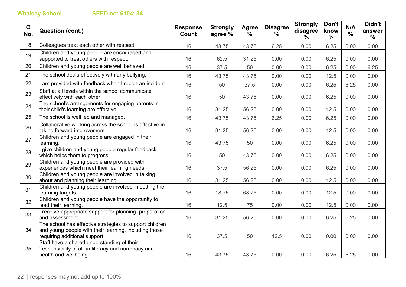| Q<br>No. | <b>Question (cont.)</b>                                                                                                                           | <b>Response</b><br>Count | <b>Strongly</b><br>agree % | Agree<br>$\frac{0}{0}$ | <b>Disagree</b><br>% | <b>Strongly</b><br>disagree<br>$\%$ | Don't<br>know<br>$\frac{0}{0}$ | N/A<br>$\frac{0}{0}$ | Didn't<br>answer<br>$\frac{0}{0}$ |
|----------|---------------------------------------------------------------------------------------------------------------------------------------------------|--------------------------|----------------------------|------------------------|----------------------|-------------------------------------|--------------------------------|----------------------|-----------------------------------|
| 18       | Colleagues treat each other with respect.                                                                                                         | 16                       | 43.75                      | 43.75                  | 6.25                 | 0.00                                | 6.25                           | 0.00                 | 0.00                              |
| 19       | Children and young people are encouraged and<br>supported to treat others with respect.                                                           | 16                       | 62.5                       | 31.25                  | 0.00                 | 0.00                                | 6.25                           | 0.00                 | 0.00                              |
| 20       | Children and young people are well behaved.                                                                                                       | 16                       | 37.5                       | 50                     | 0.00                 | 0.00                                | 6.25                           | 0.00                 | 6.25                              |
| 21       | The school deals effectively with any bullying.                                                                                                   | 16                       | 43.75                      | 43.75                  | 0.00                 | 0.00                                | 12.5                           | 0.00                 | 0.00                              |
| 22       | I am provided with feedback when I report an incident.                                                                                            | 16                       | 50                         | 37.5                   | 0.00                 | 0.00                                | 6.25                           | 6.25                 | 0.00                              |
| 23       | Staff at all levels within the school communicate<br>effectively with each other.                                                                 | 16                       | 50                         | 43.75                  | 0.00                 | 0.00                                | 6.25                           | 0.00                 | 0.00                              |
| 24       | The school's arrangements for engaging parents in<br>their child's learning are effective.                                                        | 16                       | 31.25                      | 56.25                  | 0.00                 | 0.00                                | 12.5                           | 0.00                 | 0.00                              |
| 25       | The school is well led and managed.                                                                                                               | 16                       | 43.75                      | 43.75                  | 6.25                 | 0.00                                | 6.25                           | 0.00                 | 0.00                              |
| 26       | Collaborative working across the school is effective in<br>taking forward improvement.                                                            | 16                       | 31.25                      | 56.25                  | 0.00                 | 0.00                                | 12.5                           | 0.00                 | 0.00                              |
| 27       | Children and young people are engaged in their<br>learning.                                                                                       | 16                       | 43.75                      | 50                     | 0.00                 | 0.00                                | 6.25                           | 0.00                 | 0.00                              |
| 28       | I give children and young people regular feedback<br>which helps them to progress.                                                                | 16                       | 50                         | 43.75                  | 0.00                 | 0.00                                | 6.25                           | 0.00                 | 0.00                              |
| 29       | Children and young people are provided with<br>experiences which meet their learning needs.                                                       | 16                       | 37.5                       | 56.25                  | 0.00                 | 0.00                                | 6.25                           | 0.00                 | 0.00                              |
| 30       | Children and young people are involved in talking<br>about and planning their learning.                                                           | 16                       | 31.25                      | 56.25                  | 0.00                 | 0.00                                | 12.5                           | 0.00                 | 0.00                              |
| 31       | Children and young people are involved in setting their<br>learning targets.                                                                      | 16                       | 18.75                      | 68.75                  | 0.00                 | 0.00                                | 12.5                           | 0.00                 | 0.00                              |
| 32       | Children and young people have the opportunity to<br>lead their learning.                                                                         | 16                       | 12.5                       | 75                     | 0.00                 | 0.00                                | 12.5                           | 0.00                 | 0.00                              |
| 33       | I receive appropriate support for planning, preparation<br>and assessment.                                                                        | 16                       | 31.25                      | 56.25                  | 0.00                 | 0.00                                | 6.25                           | 6.25                 | 0.00                              |
| 34       | The school has effective strategies to support children<br>and young people with their learning, including those<br>requiring additional support. | 16                       | 37.5                       | 50                     | 12.5                 | 0.00                                | 0.00                           | 0.00                 | 0.00                              |
| 35       | Staff have a shared understanding of their<br>'responsibility of all' in literacy and numeracy and<br>health and wellbeing.                       | 16                       | 43.75                      | 43.75                  | 0.00                 | 0.00                                | 6.25                           | 6.25                 | 0.00                              |